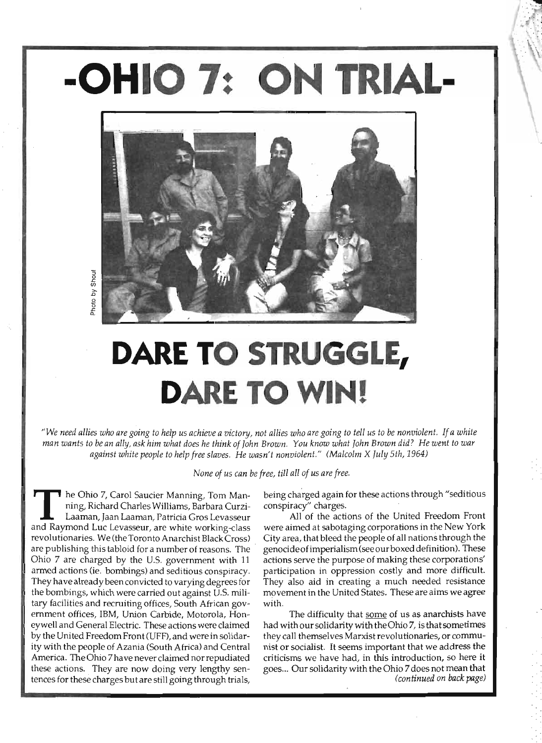## **-OHIO 7: ON TRIAL-**



## **DARE TO STRUGGLE,**  DARE TO WIN!

*"We need allies who are going to help us achieve a victory, not allies who are going to tell us to be nonviolent. If a white man wants to be an ally, ask him what does he think of John Brown. You know what John Brown did? He went* to *war against white people to help free slaves. He wasn't nonviolent." (Malcolm* X *July 5th, 1964)* 

*None of us can be free, till all of us are free.* 

he Ohio 7, Carol Saucier Manning, Tom Manning, Richard Charles Williams, Barbara Curzi-Laaman, Jaan Laaman, Patricia Gros Levasseur and Raymond Luc Levasseur, are white working-class revolutionaries. We (the Toronto Anarchist Black Cross) are publishing this tabloid for a number of reasons. The Ohio 7 are charged by the U.S. government with 11 armed actions (ie. bombings) and seditious conspiracy. They have already been convicted to varying degrees for the bombings, which were carried out against U.s. military facilities and recruiting offices, South African government offices, IBM, Union Carbide, Motorola, Honeywell and General Electric. These actions were claimed by the United Freedom Front (UFF), and were in solidarity with the people of Azania (South Africa) and Central America. The Ohio 7 have never claimed nor repudiated these actions. They are now doing very lengthy sentences for these charges but are still going through trials,

being charged again for these actions through "seditious conspiracy" charges.

All of the actions of the United Freedom Front were aimed at sabotaging corporations in the New York City area, that bleed the people of all nations through the genocide of imperialism (see our boxed definition). These actions serve the purpose of making these corporations' participation in oppression costly and more difficult. They also aid in creating a much needed resistance movement in the United States. These are aims we agree with.

The difficulty that some of us as anarchists have had with our solidarity with the Ohio 7, is that sometimes they call themselves Marxist revolutionaries, or communist or socialist. It seems important that we address the criticisms we have had, in this introduction, so here it goes... Our solidarity with the Ohio 7 does not mean that *(continued on back page)*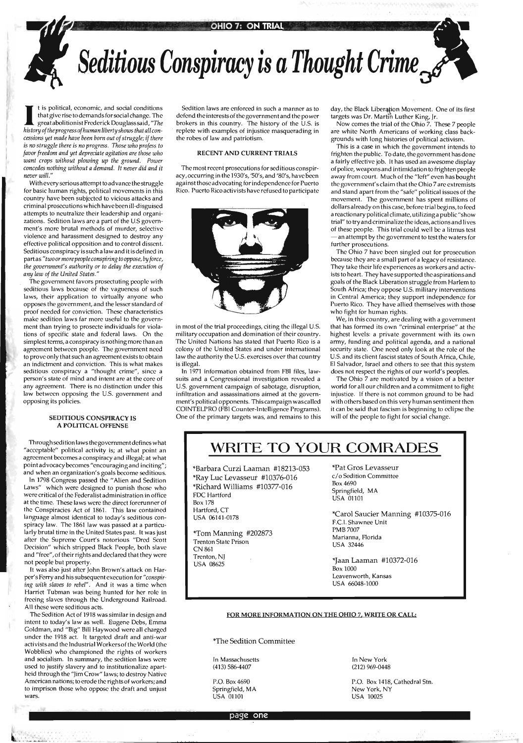

I t is political, economic, and social conditions that give rise to demands for social change. The grea t aboli tionist Frederick Douglass said, *"The history of theprogressafhuman liberty shows that all concessions yet made have been born out of struggle; if there*  is *no struggle there* is *no progress. Those who profess to favor freedom and yet depreciate agitation are those who want crops without plowing up the ground. Power concedes nothing without a demand.* It *never did and* it *never will."* 

With every serious attempt to advance the struggle for basic human rights, political movements in this country have been subjected to vicious attacks and criminal prosecutions which have been ill-disguised attempts to neutralize their leadership and organizations. Sedition laws are a part of the U.S government's more brutal methods of murder, selective violence and harassment designed to destroy any effective political opposition and to control dissent. Seditious conspiracy is such a law and it is defined in partas *"twoormorepeopleconspiringtooppose,byforce, the government's authority or to delay the execution of any law of the United States."* 

The government favors prosectuting people with seditious laws because of the vagueness of such laws, their application to virtually anyone who opposes the government, and the lesser standard of proof needed for conviction. These characteristics make sedition laws far more useful to the government than trying to prosecte individuals for violations of specific state and federal laws. On the simplest terms, a conspiracy is nothing more than an agreement between people. The government need . to prove only that such an agreement exists to obtain an indictment and conviction. This is what makes seditious conspiracy a "thought crime", since a person's state of mind and intent are at the core of any agreement. There is no distinction under this law between opposing the U.S. government and opposing its policies.

#### SEDITIOUS CONSPIRACY IS A POLITICAL OFFENSE

The most recent prosecutions for seditious conspiracy, occurring in the 1930's, '50's, and '80's, have been against those ad voca ting for independence for Puerto Rico. Puerto Rico activists have refused to participate



Through sedition laws the governmen t defines what "acceptable" political activity is; at what point an agreement becomes a conspiracy and illegal; at what point advocacy becomes "encouraging and inciting"; and when an organization's goals become seditious.

day, the Black Liberation Movement. One of its first targets was Dr. Martin Luther King, Jr.

Now comes the trial of the Ohio 7. These 7 people are white North Americans of working class backgrounds with long histories of political activism.

This is a case in which the government intends to frighten the public. To date, the government has done a fairly effective job.. It has used an awesome display of police, weapons and intimidation to frighten people away from court. Much of the "left" even has bought the government's claim that the Ohio 7 are extremists and stand apart from the "safe" political issues of the movement. The government has spent millions of dollars already on this case, before trial begins, to feed a reactionary political climate, utilizinga public "show trial" to try and criminalize the ideas, actions and lives of these people. This trial could well be a litmus test  $-$  an attempt by the government to test the waters for further prosecutions.

In 1798 Congress passed the" Alien and Sedition Laws" which were designed to punish those who were critical of the Federalist administration in office at the time. These laws were the direct forerunner of the Conspiracies Act of 1861. This law contained language almost identical to today's seditious conspiracy law. The 1861 law was passed at a particularly brutal time in the United States past. It was just after the Supreme Court's notorious "Dred Scott Decision" which stripped Black People, both slave and "free", of their rights and declared that they were not people but property.

It was also just after John Brown's.attack on Harper's Ferry and his su bsequent execu tion for" *conspiring with slaves to rebel".* And it was a time when Harriet Tubman was being hunted for her role in freeing slaves through the Underground Railroad. All these were seditious acts. The Sedition Act of 1918 was similar in design and intent to today's law as well. Eugene Debs, Emma Goldman, and "Big" Bill Haywood were all charged under the 1918 act. It targeted draft and anti-war activists and the Industrial Workers of the World (the Wobblies) who championed the rights of workers and socialism. In summary, the sedition laws were used to justify slavery and to institutionalize apartheid through the "Jim Crow" laws; to destroy Native American nations; to erode the rights of workers; and to imprison those who oppose the draft and unjust wars.

P.O. Box 4690 Springfield, MA USA 01101

Sedition laws are enforced in such a manner as to defend the interests of the government and the power brokers in this country. The history of the U.s. is . replete with examples of injustice masquerading in the robes of law and patriotism.

#### RECENT AND CURRENT TRIALS

in most of the trial proceedings, citing the illegal U.s. military occupation and domination of their country. The United Nations has stated that Puerto Rico is a colony of the United States and under international law the authority the U.S. exercises over that country is illegal.

In 1971 information obtained from FBI files, lawsuits and a Congressional investigation revealed a U.S. government campaign of sabotage, disruption, infiltration and assassinations aimed at the government's political opponents. This campaign was called COINTELPRO (FBI Counter-Intelligence Programs). One of the primary targets was, and remains to this

The Ohio 7 have been singled out for prosecution because they are a small part of a legacy of resistance. They take their life experiences as workers and activists to heart. They have supported the aspirations and goals of the Black Liberation struggle from Harlem to South Africa; they oppose U.S. military interventions in Central America; they support independence for Puerto Rico. They have allied themselves with those who fight for human rights.

We, in this country, are dealing with a government that has formed its own "criminal enterprise" at the highest levels: a private government with its own army, funding and political agenda, and a national security state. One need only look at the role of the U.S. and its client fascist states of South Africa, Chile, EI Salvador, Israel and others to see that this system does not respect the rights of our world's peoples.

The Ohio 7 are motivated by a vision of a better world for all our children and a commitment to fight injustice. If there is not common ground to be had with others based on this very human sentiment then it can be said that fascism is beginning to cclipse the will of the people to fight for social change.

### **WRITE TO YOUR COMRADES**

\*Barbara Curzi Laaman #18213-053 \*Ray Luc Levasseur #10376-016 \*Richard Williams #10377-016 FOC Hartford Box 178 Hartford, CT USA 06141-0178

\*Tom Manning #202873 Trenton State Prison CN 861 Trenton, NJ USA 08625

\*Pat Gros Levasseur c/o Sedition Committee Box 4690 Springfield, MA USA 01101

\*Carol Saucier Manning #10375-016 F.CI. Shawnee Unit PMB 7007 Marianna, Florida USA 32446

\*Jaan Laaman #10372-016 Box 1000 Leavenworth, Kansas

USA 66048-1000

#### FOR MORE INFORMATION ON THE OHIO 7, WRITE OR CALL:

#### \*The Sedition Committee

In Massachusetts (413) 586-4407



In New York (212) 969-0448

P.O. Box 1418, Cathedral Stn. New York, NY USA 10025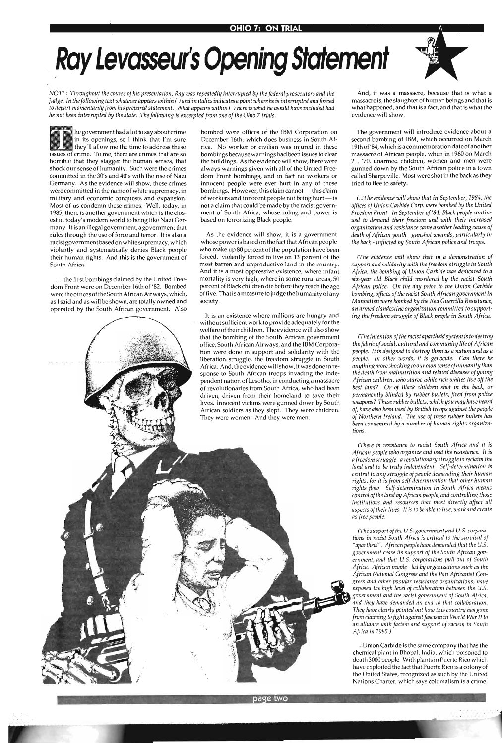# **Ray Levasseur's Opening Statement**

*NOTE: Throughout the course of his presentation, Ray was repeatedly interrupted by the federal prosecutors and the Judge. In the following text whatever appears within () and in italics indicates a point where he is interrupted and forced* to *depart momentarily from his prepared statement. What appears within* ( ) *here* is *what he would have included had he not been interrupted by the state. The following is excerpted from one of the Ohio 7 trials.* 

II he government had a lot to say about crime<br>
in its openings, so 1 think that I'm sure<br>
they'll allow me the time to address these<br>
ssues of crime. To me, there are crimes that are so he government had a lot to say about crime<br>in its openings, so 1 think that I'm sure they'll allow me the time to address these horrible that they stagger the human senses, that shock our sense of humanity. Such were the crimes committed in the 30's and 40's with the rise of Nazi Germany. As the evidence will show, these crimes were committed in the name of white supremacy, in military and economic conquests and expansion. Most of us condemn these crimes. Well, today, in 1985, there is another government which is the closest in today's modem world to being like Nazi Germany. It isan illegal government, a government that rules through the use of force and terror. It is also a racist government based on white supremacy, which violently and systematically denies Black people their human rights. And this is the government of South Africa.

.... the first bombings claimed by the United Freedom Front were on December 16th of '82. Bombed were the offices of the South African Airways, which, as I said and as will be shown, are totally owned and operated by the South African government. Also

.'.

And, it was a massacre, because that is what a massacre is, the slaughter of human beings and that is what happened, and that is a fact, and that is what the evidence will show.

bombed were offices of the IBM Corporation on December 16th, which does business in South Africa. No worker or civilian was injured in these bombings because warnings had been issues to clear the buildings. As the evidence will show, there were always warnings given with all of the United Freedom Front bombings, and in fact no workers or innocent people were ever hurt in any of these bombings. However, this claim cannot — this claim of workers and innocent people not being hurt  $-$  is not a claim that could be made by the racist government of South Africa, whose ruling and power is based on terrorizing Black people.

As the evidence will show, it is a government whose power is based on the fact that African people who make up 80 percent of the population have been forced, violently forced to live on 13 percent of the most barren and unproductive land in the country. And it is a most oppressive existence, where infant mortality is very high, where in some rural areas, 50 percent of Black children die before they reach the age offive. Thatisa measure tojudge the humanity of any society.

It is an existence where millions are hungry and without sufficient work to provide adequately for the welfare of their children. The evidence will also show that the bombing of the South African government office, South African Airways, and the IBM Corporation were done in support and solidarity with the liberation struggle, the freedom struggle in South Africa. And, theevidencewill show, it was done inresponse to South African troops invading the independent nation of Lesotho, in conducting a massacre of revolutionaries from South Africa, who had been driven, driven from their homeland to save their lives. Innocent victims were gunned down by South African soldiers as they slept. They were children. They were women. And they were men.

The government will introduce evidence about a second bombing of IBM, which occurred on March 19th of'84, which isa commemoration date of another massacre of African people, when in 1960 on March 21, '70, unarmed children, women and men were gunned down by the South African police in a town called Sharpeville. Most were shot in the back as they tried to flee to safety.

*( ... The evidence will show that in September,* 1984, *the offices of Union Carbide Corp. were bombed by the United*  Freedom Front. In September of '84, Black people contin*ued to demand their freedom and with their increased organization and resistance came another leading cause of death of African youth* - *gunshot wounds, particularly in the back* - *inflicted* by *South African police and troops.* 

*(The evidence will show that in a demonstration of support and solidarity with the freedom struggle in South Africa, the bombing of Union Carbide was dedicated* to *a six-year old Black child murdered by the racist South African police. On the day prior to the Union Carbide bombing, offices of the racist South African government in Manhatten were bombed* by *the Red Guerrilla Resistance, an armed clandestine organization committed to supporting the freedom struggle of Black people in South Africa.* 

*(The intention of the racist apartheid system* is *to destroy the fabric of social, cultural and community life of African people.* It is *designed* to *destroy them as a nation and as a people. In other words,* it *is genocide. Can there be anything more shocking to our own sense of humanity than the death from malnutrition and related diseases of young African children, who starve while rich whites live off the best land? Or of Black children shot in the back, or permanently blinded by rubber bullets, fired from police weapons? These rubber bullets, which you may have heard of, have also been used by British troops against the people of Northern Ireland. The use of these rubber bullets has been condemned by a number of human rights organizations.* 

*(There is resistance to racist South Africa and it is African people who organize and lead the resistance.* It *is a freedom struggle* -*a revolutionary struggle to reclaim the land and* to *be truly independent. Self-determination is central* to *any struggle of people demanding their human rights, for it* is *from self-determination that other human rights flow. Self-determination in South Africa means control of the land* by *African people, and controlling those institutions and resources that most directly affect all aspects of their lives.* It *is* to *be able to live, work and create as free people.* 

*(The support of the U.S. government and U.S. corporations in racist South Africa* is *critical to the survival of "apartheid". African people have demanded that the U.S.*  government cease its support of the South African gov*ernment, and that U.S. corporations pull out of South Africa. African people* - *led by organizations such as the* 



... Union Carbide is the same company that has the chemical plant in Bhopal, India, which poisoned to death 3000 people. With plants in Puerto Rico which have exploited the fact that Puerto Rico is a colony of the United States, recognized as such by the United Nations Charter, which says colonialism is a crime .

**.page two ,**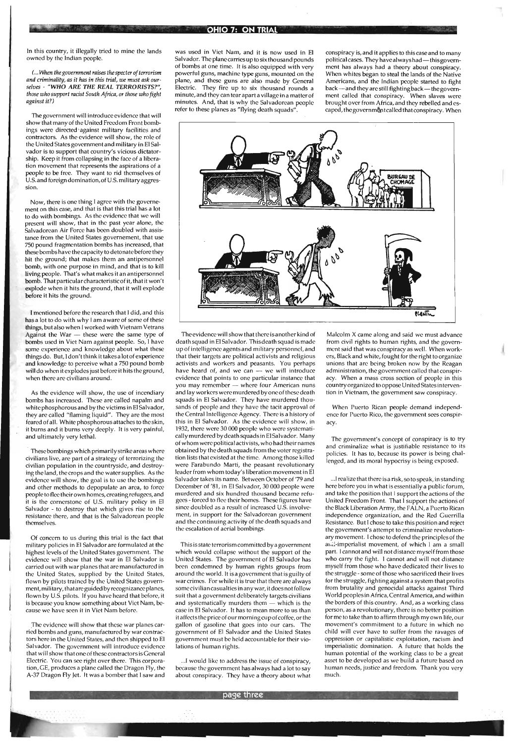. ~ -- **OHIO 7: 0 .... TRIAL** 

In this country, it illegally tried to mine the lands owned by the Indian people.

*(...* When the government raises the specter of terrorism and criminality, as it has in this trial, we must ask ourselves - "WHO ARE THE REAL TERRORISTS?", those who support racist South Africa, or those who fight against it?)

The government will introduce evidence that will show that many of the United Freedom Front bombings were directed against military facilities and contractors. As the evidence will show, the role of the United States government and military in El Salvador is to support that country's vicious dictatorship. Keep it from collapsing in the face of a liberation movement that represents the aspirations of a people to be free. They want to rid themselves of U.S. and foreign domination, of U.S. military aggression.

Now, there is one thing I agree with the governement on this case, and that is that this trial has a lot to do with bombings. As the evidence that we will present will show, that in the past year alone, the Salvadorean Air Force has been doubled with assistance from the United States governement, that use 750 pound fragmentation bombs has increased, that these bombs have the capacity to detonate before they hit the ground; that makes them an antipersonnel bomb, with one purpose in mind, and that is to kill living people. That's what makes it an antipersonnel bomb. That particular characteristic of it, that it won't explode when it hits the ground, that it will explode before it hits the ground.

I mentioned before the research that I did, and this has a lot to do with why I am aware of some of these things, but also when I worked with Vietnam Vetrans Against the War  $-$  these were the same type of bombs used in Viet Nam against people. So, I have some experience and knowledge about what these things do. But, I don't think it takes a lot of experience and knowledge to perceive what a 750 pound bomb will do when it explodes just before it hits the ground, when there are civilians around.

As the evidence will show, the use of incendiary bombs has increased. These are called napalm and white phosphorous and by the victims in El Salvador, they are called "flaming liquid". They are the most feared of all. White phosphorous attaches to the skin, it burns and it burns very deeply. It is very painful, and ultimately very lethal.

These bombings which primarily strike areas where civilians live, are part of a strategy of terrorizing the civilian population in the countryside, and destroying the land, the crops and the water supplies. As the evidence will show, the goal is to use the bombings and other methods to depopulate an area, to force people to flee their own homes, creating refugees, and it is the cornerstone of U.S. military policy in El Salvador - to destroy that which gives rise to the resistance there, and that is the Salvadorean people themselves.

Of concern to us during this trial is the fact that military policies in El Salvador are formulated at the highest levels of the United States government. The evidence will show that the war in El Salvador is carried out with war planes that are manufactured in the United States, supplied by the United States, flown by pilots trained by the United States government, military, that are guided by recognizance planes, flown by U.S. pilots. If you have heard that before, it is because you know something about Viet Nam, be-<br>cause we have seen it in Viet Nam before.

was used in Viet Nam, and it is now used in El Salvador. The plane carries up to six thousand pounds of bombs at one time. It is also equipped with very powerful guns, machine type guns, mounted on the plane, and these guns are also made by General Electric. They fire up to six thousand rounds a minute, and they can tear apart a village in a matter of minutes. And, that is why the Salvadorean people refer to these planes as "flying death squads".

conspiracy is, and it applies to this case and to many political cases. They have always had - this government has always had a theory about conspiracy. When whites began to steal the lands of the Native Americans, and the Indian people started to fight back - and they are still fighting back - the government called that conspiracy. When slaves were brought over from Africa, and they rebelled and escaped, the government called that conspiracy. When



The evidence will show that there is another kind of death squad in El Salvador. This death squad is made up of intelligence agents and military personnel, and that their targets are political activists and religious. activists and workers and peasants. You perhaps have heard of, and we can  $-$  we will introduce evidence that points to one particular instance that you may remember  $-$  where four American nuns and lay workers were murdered by one of these death squads in El Salvador. They have murdered thousands of people and they have the tacit approval of the Central Intelligence Agency. There is a history of this in El Salvador. As the evidence will show, in 1932, there were 30 000 people who were systematically murdered by death squads in El Salvador. Many of whom were political activists, who had their names obtained by the death squads from the voter registration lists that existed at the time. Among those killed<br>lenged, and its moral hypocrisy is being exposed. were Farabundo Marti, the peasant revolutionary leader from whom today's liberation movement in El Salvador takes its name. Between October of '79 and December of '81, in El Salvador, 30 000 people were murdered and six hundred thousand became refugees - forced to flee their homes. These figures have since doubled as a result of increased U.S. involvement, in support for the Salvadorean government and the continuing activity of the death squads and the escalation of aerial bombings.

This is state terrorism committed by a government which would collapse without the support of the United States. The government of El Salvador has been condemned by human rights groups from around the world. It is a government that is guilty of war crimes. For while it is true that there are always some civilian casualties in any war, it does not follow suit that a government deliberately targets civilians and systematically murders them  $-$  which is the case in El Salvador. It has to mean more to us than it affects the price of our morning cup of coffee, or the gallon of gasoline that goes into our cars. The government of El Salvador and the United States government must be held accountable for their vio-

Malcolm  $X$  came along and said we must advance from civil rights to human rights, and the government said that was conspiracy as well. When workers, Black and white, fought for the right to organize unions that are being broken now by the Reagan administration, the government called that conspiracy. When a mass cross section of people in this country organized to oppose United States intervention in Vietnam, the government saw conspiracy.

When Puerto Rican people demand independence for Puerto Rico, the government sees conspiracy.

The government's concept of conspiracy is to try and criminalize what is justifiable resistance to its policies. It has to, because its power is being chal-

... I realize that there is a risk, so to speak, in standing here before you in what is essentially a public forum, and take the position that  $I$  support the actions of the United Freedom Front. That I support the actions of the Black Liberation Army, the FALN, a Puerto Rican independence organization, and the Red Guerrilla Resistance. But I chose to take this position and reject the government's attempt to criminalize revolutionary movement. I chose to defend the principles of the and imperialist movement, of which I am a small part. I cannot and will not distance myself from those who carry the fight. I cannot and will not distance myself from those who have dedicated their lives to the struggle - some of those who sacrificed their lives for the struggle, fighting against a system that profits from brutality and genocidal attacks against Third World peoples in Africa, Central America, and within the borders of this country. And, as a working class person, as a revolutionary, there is no better position for me to take than to affirm through my own life, our movement's commitment to a future in which no child will ever have to suffer from the ravages of oppression or capitalistic exploitation, racism and imperialistic domination. A future that holds the human potential of the working class to be a great asset to be developed as we build a future based on human needs, justice and freedom. Thank you very

The evidence will show that these war planes carried bombs and guns, manufactured by war contractors here in the United States, and then shipped to El Salvador. The government will introduce evidence lations of human rights. that will show that one of these contractors is General Electric. You can see right over there. This corporation, GE, produces a plane called the Dragon Fly, the A-37 Dragon Fly Jet. It was a bomber that I saw and

...I would like to address the issue of conspiracy. because the government has always had a lot to say

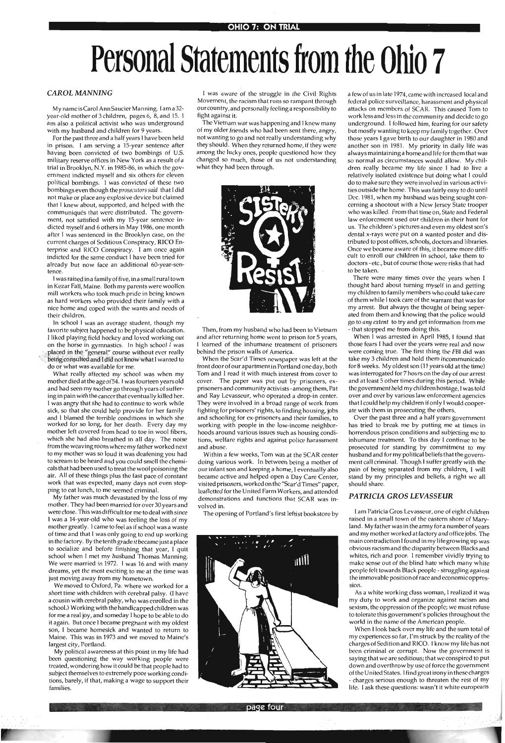# **Personal Statements from the Ohio 7**

#### *CAROL MANNING*

Myname isCaroI AnnSaucier Manning. lam a32 year-old mother of 3 children, pages 6, 8, and 15. I am also a political activist who was underground with my husband and children for 9 years.

For the past three and a half years I have been held in prison. I am serving a IS-year sentence after having been convicted of two bombings of U.S. military reserve offices in New York as a result of a trial in Brooklyn, N.Y. in 1985-86, in which the government indicted myself and six others for eleven political bombings. I was convicted of these two bombings even though the *prosecutors said* that I did not make or place any explosive device but claimed that I knew about, supported, and helped with the communiqués that were distributed. The government, not satisfied with my IS-year sentence indicted myself and 6 others in May 1986, one month after I was sentenced in the Brooklyn case, on the current charges of Seditious Conspiracy, RICO Enterprise and RICO Conspiracy. I am once again indicted for the same conduct I have been tried for already but now face an additional 60-year-sentence.

I was raised ina family of five, ina small rural town in Kezar Fall, Maine. Both my parents were woollen mill workers who took much pride in being known as hard workers who provided their family with a nice home and coped with the wants and needs of their children.

In school I was an average student, though my favorite subject happened to be physical education. I liked playing field hockey and loved working out on the horse in gymnastics. In high school I was placed in the "general" course without ever really being consulted and I did not know what I wanted to do or what was available for me.

What really affected my school was when my mother died at the age of 54. I was fourteen years old and had seen my mother go through years of suffering in pain with the cancer that eventually killed her. I was angry that she had to continue to work while sick, so that she could help provide for her family and I blamed the terrible conditions in which she worked for so long, for her death. Every day my mother left covered from head to toe in wool fibers, which she had also breathed in all day. The noise from the weaving room where my father worked next to my mother was so loud it was deafening you had to scream to be heard and you could smell the chemicals that had been used to treat the wool poisoning the air. All of these things plus the fast pace of constant work that was expected, many days not even stopping to eat lunch, to me seemed criminal.

My father was much devastated by the loss of my mother. They had been married for over 30 years and were close. This wasdifficult for me to deal with since I was a 14-year-old who was feeling the loss of my mother greatly. I came to feel as if school was a waste of time and that I was only going to end up working in the factory. By the tenth grade it became just a place to socialize and before finishing that year, I quit school when I met my husband Thomas Manning. We were married in 1972. I was 16 and with many dreams, yet the most exciting to me at the time was just moving away from my hometown. We moved to Oxford, Pa. where we worked for a short time with children with cerebral palsy. (I have a cousin with cerebral palsy, who was enrolled in the school.) Working with the handicapped children was for me a real joy, and someday I hope to be able to do it again. But once I became pregnant with my oldest son, I became homesick and wanted to return to Maine. This was in 1973 and we moved to Maine's largest city, Portland. My political awareness at this point in my life had been questioning the way working people were treated, wondering how it could be that people had to subject themselves to extremely poor working conditions, barely, if that, making a wage to support their families.

I was aware of the struggle in the Civil Rights Movement, the racism that runs so rampant through our country, and personally feeling a responsibility to fight against it.

The Vietnam war was happening and I knew many of my older friends who had been sent there, angry, not wanting to go and not really understanding why they should. When they returned home, if they were among the lucky ones, people questioned how they changed so much, those of us not understanding what they had been through.



Then, from my husband who had been to Vietnam and after returning home went to prison for 5 years, I learned of the inhumane treatment of prisoners behind the prison walls of America.

. When the Scar'd Times newspaper was left at the front door of our apartment in Portland one day, both Tom and I read it with much interest from cover to cover. The paper was put out by prisoners, exprisoners and community activists-among them, Pat and Ray Levasseur, who operated a drop-in center. They were involved in a broad range of work from fighting for prisoners' rights, to finding housing, jobs and schooling for ex-prisoners and their families, to working with people in the low-income neighborhoods around various issues such as housing conditions, welfare rights and against police harassment and abuse.

Within a few weeks, Tom was at the SCAR center doing various work. In between being a mother of our infant son and keeping a home, I eventually also became active and helped open a Day Care Center, visi ted prisoners, worked on the "Scar'd Times" paper, leafletted for the United Farm Workers, and attended demonstrations and functions that SCAR was involved in.

The opening of Portland's first leftist bookstore by



a **e four** 

a few of us in late 1974, came with increased local and federal police surveillance, harassment and'physical attacks on members of SCAR. This caused Tom to work less and less in the community and decide to go underground. I followed him, fearing for our safety but mostly wanting to keep my family together. Over those years I gave birth to our daughter in 1980 and another son in 1981. My priority in daily life was always maintaining a home and life for them that was so normal as circumstances would allow. My children really became my life since I had to live a relatively isolated existence but doing what I could do to make sure they were involved in various activities outside the home. This was fairly easy to do until Dec. 1981, when my husband was being sought concerning a shootout with a New Jersey State trooper who was killed. From that time on, State and Federal law enforcement used our children in their hunt for us. The children's pictures and even my oldest son's dental x-rays were put on a wanted poster and distributed to' post offices, schools, doctors and libraries. Once we became aware of this, it became more difficult to enroll our children in school, take them to doctors - etc., but of course those were risks that had to be taken.

There were many times over the years when I thought hard about turning myself in and getting my children to family members who could take care of them while I took care of the warrant that was for my arrest. But always the thought of being seperated from them and knowing that the police would go to *any extent* to try and get information from me - that stopped me from doing this.

When I was arrested in April 1985, I found that those fears I had over the years were real and now were coming true. The first thing the FBI did was take my 3 children and hold them incommunicado for 8 weeks. My oldest son (11 years old at the time) was interrogated for 7 hours on the day of our arrest and at least 5 other times during this period. While the government held my children hostage, I was told over and over by various law enforcement agencies that I could help my children if only I would cooperate with them in prosecuting the others.

Over the past three and a half years government has tried to break me by putting me at times in horrendous prison conditions and subjecting me to inhumane treatment. To this day I continue to be prosecuted for standing by commitment to my husband and for my political beliefs that the government call criminal. Though I suffer greatly with the pain of being separated from my children, I will stand by my principles and beliefs, a right we all should share.

#### *PATRICIA GROS LEVASSEUR*

I am Patricia Gros Levasseur, one of eight children raised in a small town of the eastern shore of Maryland. My father was in the army for a number of years and my mother worked at factory and office jobs. The main contradiction I found in my life growing up was obvious racism and the disparity between Blacks and whites, rich and poor. I remember vividly trying to make sense out of the blind hate which many white people felt towards Black people -struggling against the immovable position of race and economic oppression.

As a white working class woman, I realized it was my duty to work and organize against racism and sexism, the oppression of the people; we must refuse to tolerate this government's policies throughout the world in the name of the American people.

When I look back over my life and the sum total of my experiences so far, I'm struck by the reality of the charges of Sedition and RICO. I know my life has not been criminal or corrupt. Now the government is saying that we are seditious; that we conspired to put down and overthrow by use of force the government ofthe United States. I find great irony in these charges - charges serious enough to threaten the rest of my life. I ask these questions: wasn't it white europeans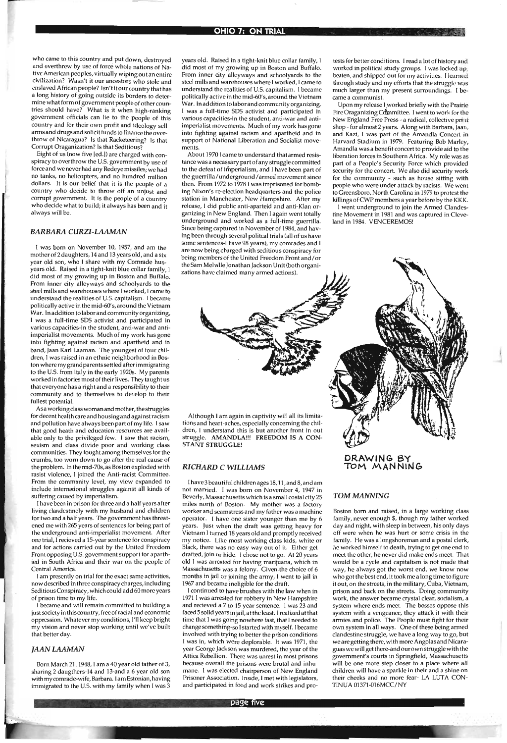#### **OHIO 7: ON TRIAL**

who came to this country and put down, destroyed and overthrew by use of force whole nations of Native American peoples, virtually wiping out an entire civilization? Wasn't it our ancestors who stole and enslaved African people? Isn't it our country that has a long history of going outside its borders to determine what form of government people of other countries should have? What is it when high-ranking government officials can lie to the people of this country and for their own profit and ideology sell arms and drugs and solicit funds to finance the overthrow of Nicaragua? Is that Racketeering? Is that Corrupt Oraganization? Is that Seditious? Corrupt Oraganization? Is that Seditious?<br>Eight of us (now five [ed.]) are charged with con-

I was born on November 10, 1957, and am the mother of 2 daughters, 14 and 13 years old, and a six year old son, who I share with my Comrade husyears old. Raised in a tight-knit blue collar family, I did most of my growing up in Boston and Buffalo. From inner city alleyways and schoolyards to the steel mills and warehouses where I worked, I came to understand the realities of U.S. capitalism. I became politically active in the mid-60's, around the Vietnam War. In addition to labor and community organizing, I was a full-time SOS activist and participated in various capacities-in the student, anti-war and antiimperialist movements. Much of my work has gone into fighting against racism and apartheid and in band, Jaan Karl Laaman. The youngest of four children, I was raised in an ethnic neighborhood in Boston where my grandparents settled after immigrating to the U.S. from Italy in the early 1920s. My parents worked in factories most of their lives. They taught us that everyone has a right and a responsibility to their accorry one has a right and a responsibility to their annumy unu n<br>lloct potential

fullest potential.<br>Asa working class woman and mother, the struggles for decent health care and housing and against racism and pollution have always been part of my life. I saw that good heath and education resources are available only to the privileged few. I saw that racism, sexism and class divide poor and working class communities. They fought among themselves for the minumus, they wagneemed a content of care of crumbs, too worn down to go after the real cause of the problem. In the mid-70s, as Boston exploded with rasist violence, I joined the Anti-racist Committee. From the community level, my view expanded to include international struggles against all kinds of suffering caused by imperialism. cring caused by imperiation.<br>I have been in prison for three and a half years after

spiracy to overthrow the U.5. government by use of force and we never had any Redeye missiles; we had no tanks, no helicopters, and no hundred million dollars. It is our belief that it is the people of a country who decide to throw off an unjust and corrupt government. It is the people of a country who decide what to build; it always has been and it always will be.

#### BARBARA CURZI-LAAMAN

living clandestinely with my husband and children living clandestinely with my husband and children<br>for two and a half years. The government has threatened me with 265 years of sentences for being part of the underground anti-imperialist movement. After one trial, I recieved a 15-year sentence for conspiracy and for actions carried out by the United Freedom and for actions carried out by the United Freedom Front opposing U.S. government support for aparthon opposing 6.5. government support for apartment General America.

Central America.<br>I am presently on trial for the exact same activities, now described in three conspiracy charges, including Seditious Conspiracy, which could add 60 more years of prison time to my life. I became and will remain committed to building a

just society in this country, free of racial and economic just society in this country, free of racial and economic<br>oppression. Whatever my conditions, I'll keep bright my vision and never stop working until we've built that better day.

Born March 21, 1948, I am a 40 year old father of 3, sharing 2 daugthers-14 and 13-and a 6 year old son with my comrade-wife, Barbara. I am Estonian, having immigrated to the U.S. with my family when I was 3

 $\alpha$  assacriuscus was a rerorly. Orientally choice or  $\alpha$ months in jail or joining the army, I went to jail in 1967 and became ineligible for the draft.

years old. Raised in a tight-knit blue collar family, I did most of my growing up in Boston and Buffalo. a most of my growing up in boston and bunato. on mile eny ancyways and senoolyarus to the steel mills and warehouses where I worked, I came to understand the realities of U.S. capitalism. I became politically active in the mid-60's, around the Vietnam War. In addition to labor and community organizing, I was a full-time SDS activist and participated in various capacities-in the student, anti-war and antiimperialist movements. Much of my work has gone into fighting against racism and apartheid and in we against acism and aparticid and in pports.<br>.ontc

About 1970 I came to understand that armed resistance was a necassary part of any struggle committed to the defeat of imperialism, and I have been part of the guerrilla / underground / armed movement since then. From 1972 to 1978 I was imprisoned for bombing Nixon's re-election headquarters and the police station in Manchester, New Hampshire. After my release, I did public anti-aparteid and anti-Kian organizing in New England. Then I again went totally underground and worked as a full-time guerrilla. Since being captured in November of 1984, and having been through several politcal trials (all of us have some sentences-I have 98 years), my comrades and I are now being charged with seditious conspiracy for being members of the United Freedom Front and / or ring members of the United Freedom Front and/or<br>le Sam Melville Jonathan Jackson Unit (both organi-<br>tions have claimed many armed actions).

Fire Oraganizing Committee. I went to work for the New England Free Press - a radical, collective print shop - for almost 2 years. Along with Barbara, Jaan, and Kazi, I was part of the Amandla Concert in Harvard Stadium in 1979. Featuring Bob Marley, Amandla was a benefit concert to provide aid to the liberation forces in Southern Africa. My role was as part of a People's Security Force which provided security for the concert. We also did security work for the community - such as house sitting with people who were under attack by racists. We went to Greensboro, North Carolina in 1979 to protest the killings of CWP members a year before by the KKK.

I went underground to join the Armed Clandestine Movement in 1981 and was captured in Cleveland in 1984. VENCEREMOS!

.<&7 ~  $\lambda - 1$  .  $\lambda$ 

Although I am again in captivity will all its limitations and heart-aches, especially concerning the children, I understand this is but another front in out dren, I understand this is but another front in out struggle. AMANDLA!!! FREEDOM IS A CON-STANT STRUGGLE!

I have3beautiful children ages 18, Il,and 8,andam not married. I was born on November 4, 1947 in not married. I was born on November 4, 1947 in Beverly, Massachusetts which is a small costal city 25 miles north of Boston. My mother was a factory was a factory operator. I have one sister younger than me by 6 operator. I have one sister younger than me by 6 years. Just when the draft was getting heavy for Vietnam I turned 18 years old and promptly received my notice. Like most working class kids, white or Black, the most working class kius, while or Black, there was no easy way out of it. Either get drafted, join or hide. I chose not to go. At 20 years old I was arrested for having marijuana, which in as was arrested for naving manguana, which in

#### JAANLAAMAN

~~ ~.t~:. , .... . ' ~

tests for better conditions. I read a lot of history and worked in political study groups. I was locked up, beaten, and shipped out for my activities. I learned through study and my efforts that the struggle was wage staay and my chorts that the struggie was ach laigeil thàn nìy came a communist.<br>Upon my release I worked briefly with the Prairie

#### RICHARD C WILLIAMS

I continued to have brushes with the law when in 1971 I was arrested for robbery in New Hampshire and recieved a 7 to 15 years continued a was 22 and and recieved a 7 to 15 year sentence. 1 was 23 and faced 5 solid years in jail, at the least. I realized at that time that I was going nowhere fast, that I needed to change something-so I started with myself. I became involved with trying to better the prison conditions I was in, which were deplorable. It was 1971, the was in, which were acpionable. It was 1211, the year George Jackson was murdered, the year of the<br>Attica Rebellion. There was unrest in most prisons because overall the prisons were brutal and inhumane. I was elected chairperson of New England Prisoner Association. Inside, I met with legislators, and participated in food and work strikes and pro-

**page** lye

#### **DRAWING BY TOM MANNlNG**

#### *TOM MANNING*

Boston born and raised, in a large working class family, never enough \$, though my father worked day and night, with sleep in between, his only days off were when he was hurt or some crisis in the family. He was a longshoreman and a postal clerk, he worked himself to death, trying to get one end to meet the other, he never did make ends meet. That would be a cycle and capitalism is not made that way, he always got the worst end, we know now ay, he always got the worst end, we know how who got the best end, it took me a long time to figure<br>it out, on the streets, in the military, Cuba, Vietnam, put, on the streets, in the number of y capa, victimality work and back on the streets. Doing community work, the answer became crystal clear, socialism, a system where ends meet. The bosses oppose this stem with a vengeance, the bosses oppose this siem with a verificance, they attack it with their armies and police. The People must fight for their own system in all ways. One of these being armed clandestine struggle, we have a long way to go, but we are getting there, with more Angolas and Nicaracare getting there, with more exigones and i situatagovernment's courts in Corination Massachusetts government's courts in Springfield, Massachusetts will be one more step closer to a place where all children will have a sparkle in their and a shine on their cheeks and no more fear- LA LUTA CON-TINUA 01371-016MCC/NY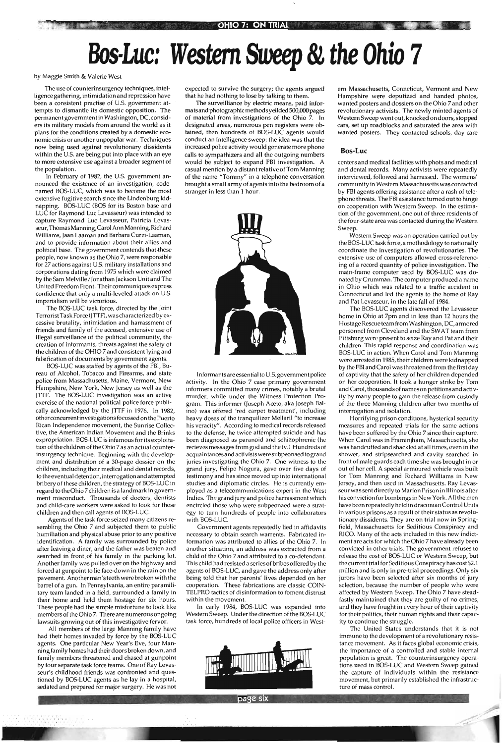## **Bos-Luc: Western Sweep & the** *Ohio* **7**

by Maggie Smith & Valerie West

The use of counterinsurgency techniques, intelligence gathering, intimidation and repression have been a consistent practise of U.S. government attempts to dismantle its domestic opposition. The permanent government in Washington, DC,considers its military models from around the world as it plans for the conditions created by a domestic economic crisis or another unpopular war. Techniques now being used against revolutionary dissidents within the U.S. are being put into place with an eye to more extensive use against a broader segment of the population.

In February of 1982, the U.S. government announced the existence of an investigation, codenamed BOS-LUC, which was to become the most extensive fugitive search since the Lindenburg kidnapping. BOS-LUC (BOS for its Boston base and LUC for Raymond Luc Levasseur) was intended to capture Raymond Luc Levasseur, Patricia Levasseur, Thomas Manning, Carol Ann Manning, Richard Williams, Jaan Laaman and Barbara Curzi-Laaman, and to provide information about their allies and political base. The government contends that these people, now known as the Ohio 7, were responsible for 27 actions against U.S. military installations and corporations dating from 1975 which were claimed by the Sam Melville / Jonathan Jackson Unit and The United Freedom Front. Their communiques express confidence that only a multi-leveled attack on U.S. imperialism will be victorious.

BOS-LUC was staffed by agents of the FBI, Bureau of Alcohol, Tobacco and Firearms, and state police from Massachusetts, Maine, Vermont, New Hampshire, New York, New Jersey as well as the JTTF. The BOS-LUC investigation was an active exercise of the national political police force publically acknowledged by the JTTF in 1976. In 1982, other concurrent investigations focussed on the Puerto Rican Independence movement, the Sunrise Collective, the American Indian Movement and the Brinks expropriation. BOS-LUC is infamous for its exploitation of the children of the Ohio 7 as an actual counterinsurgency technique. Beginning with the development and distribution of a 30-page dossier on the children, including their medical and dental records, to the eventual detention, interrogation and attempted bribery of these children, the strategy of BOS-LUC in regard to the Ohio 7 children is a landmark in government misconduct. Thousands of docters, dentists and child-care workers were asked to look for these children and then call agents of BOS-LUC.

The BOS-LUC task force, directed by the Joint Terrorist Task Force (JTTF), was characterized by excessive brutality, intimidation and harrassment of friends and family of the accused, extensive use of illegal surveillance of the political community, the creation of informants, threats against the safety of the children of the OHIO 7 and consistent lying and falsification of documents by government agents.

centers and medical facilities with phots and medical and dental records. Many activists were repeatedly interviewed, followed and harrassed. The womens' community in Western Massachusetts was contacted by FBI agents offering assistance after a rash of telephone threats. The FBI assistance turned out to hinge on cooperation with Western Sweep. In the estimation of the government, one out of three residents of the four-state area was contacted during the Western Sweep.

Agents of the task force seized many citizens resembling the Ohio 7 and subjected them to public humiliation and physical abuse prior to any positive identification. A family was surrounded by police after leaving a diner, and the father was beaten and searched in front of his family in the parking lot. Another family was pulled over on the highway and forced at gunpoint to lie face-down in the rain on the pavement. Another man's teeth were broken with the barrel of a gun. In Pennsylvania, an entire paramilitary team landed in a field, surrounded a family in their home and held them hostage for six hours. These people had the simple misfortune to look like members of the Ohio 7. There are numerous ongoing lawsuits growing out of this investigative fervor. All members of the large Manning family have had their homes invaded by force by the BOS-LUC agents. One particular New Year's Eve, four Manning family homes had their doors broken down, and family members threatened and chased at gunpoint by four separate task force teams. One of Ray Levasseur's childhood friends was confronted and questioned by BOS-LUC agents as he lay in a hospital, sedated and prepared for major surgery. He was not

expected to survive the surgery; the agents argued that he had nothing to lose by talking to them.

The surveilliance by electric means, paid informats and photographic methods yeilded 500,000 pages of material from investigations of the Ohio 7. In designated areas, numerous pen registers were obtained, then hundreds of BOS-LUC agents would conduct an intelligence sweep; the idea was that the increased police activity would generate more phone calls to sympathizers and all the outgoing numbers would be subject to expand FBI investigation. A casual mention by a distant relative of Tom Manning of the name "Tommy" in a telephone conversation brought a small army of agents into the bedroom of a stranger in less than 1 hour.



Informantsareessential to U.s. government police activity. In the Ohio 7 case primary government informers committed many crimes, notably a brutal murder, while under the Witness Protection Program. This informer (Joseph Aceto, aka Joseph Balino) was offered 'red carpet treatment', including heavy doses of the tranquilizer Mellaril "to increase his veracity". According to medical records released to the defense, he twice attempted suicide and has been diagnosed as paranoid and schizophrenic (he recieves messages from god and the tv.) Hundreds of acquaintances and activists were subpeonaed to grand juries investigating the Ohio 7. One witness to the grand jury, Felipe Nogura, gave over five days of testimony and has since moved up into international studies and diplomatic circles. He is currently employed as a telecommunications expert in the West Indies. The grand jury and police harrassment which encircled those who were subpeonaed were a strategy to turn hundreds of people into collaborators with BOS-LUC.

Government agents repeatedly lied in affidavits necessary to obtain search warrents. Fabricated information was attributed to allies of the Ohio 7. In another situation, an address was extracted from a child of the Ohio 7 and attributed to a co-defendant. This child had resisted a series of bribes offered by the agents of BOS-LUC, and gave the address only after being told that her parents' lives depended on her cooperation. These fabrications are classic COIN-TELPRO tactics of disinformation to foment distrust within the movement. In early 1984, BOS-LUC was expanded into Western Sweep. Under the direction of the BOS-LUC task force, hundreds of local police officers in West-

**page SIX** 

em Massachusetts, Conneticut, Vermont and New Hampshire were deputized and handed photos, wanted posters and dossiers on the Ohio 7 and other revolutionary activists. The newly minted agents of Western Sweep went out, knocked on doors, stopped cars, set up roadblocks and saturated the area with wanted posters. They contacted schools, day-care

#### **Bos-Luc**

Western Sweep was an operation carried out by the BOS-LUC task force, a methodology to nationally coordinate the investigation of revolutionaries. The extensive use of computers allowed cross-referencing of a record quantity of police investigation. The main-frame computer used by BOS-LUC was donated by Grumman. The computer produced a name in Ohio which was related to a traffic accident in Connecticut and led the agents to the home of Ray and Pat Levasseur, in the late fall of 1984.

The BOS-LUC agents discovered the Levasseur home in Ohio at 7pm and in less than 12 hours the Hostage Rescue team from Washington, DC, armored personnel from Cleveland and the SW AT team from Pittsburg were present to seize Ray and Pat and their children. This rapid response and coordination was BOS-LUC in action. When Carol and Tom Manning were arrested in 1985, their children were kidnapped by the FBI and Carol was threatened from the first day of captivity that the safety of her children depended on her cooperation. It took a hunger strike by Tom and Carol, thousands of nameson petitions and activity by many people to gain the release from custody of the three Manning children after two months of interrogation and isolation.

Horrifying prison conditions, hysterical security measures and repeated trials for the same actions have been suffered by the Ohio 7 since their capture. When Carol was in Framinjham, Massachusetts, she was handcuffed and shackled at all times, even in the shower, and stripsearched and cavity searched in front of male guards each time she was brought in or out of her cell. A special armoured vehicle was built for Tom Manning and Richard Williams in New Jersey, and then used in Massachusetts. Ray Levasseur was sent directly to Marion Prison in Illinois after his conviction for bombings in New York. All the men have been repeatedly held in draconian Control Units in various prisons as a result of their status as revolutionary dissidents. They are on trial now in Springfield, Massachusetts for Seditious Conspiracy and RICO. Many of the acts included in this new indictment are acts for which the Ohio 7 have already been convicted in other trials. The government refuses to release the cost of BOS-LUC or Western Sweep, but the current trial for Scditious Conspiracy hascost\$2.1 million and is only in pre-trial proceedings. Only six jurors have been selected after six months of jury selection, because the number of people who were affected by Western Sweep. The Ohio 7 have steadfastly maintained that they are guilty of no crimes, and they have fought in every hour of their captivity for their politics, their human rights and their capacity to continue the struggle. The United States understands that it is not immune to the development of a revolutionary resistance movement. As it faces global economic crisis, the importance of a controlled and stable internal population is great. The counterinsurgency operations used in BOS-LUC and Western Sweep gained the capture of individuals within the resistance movement, but primarily established the infrastructure of mass control.

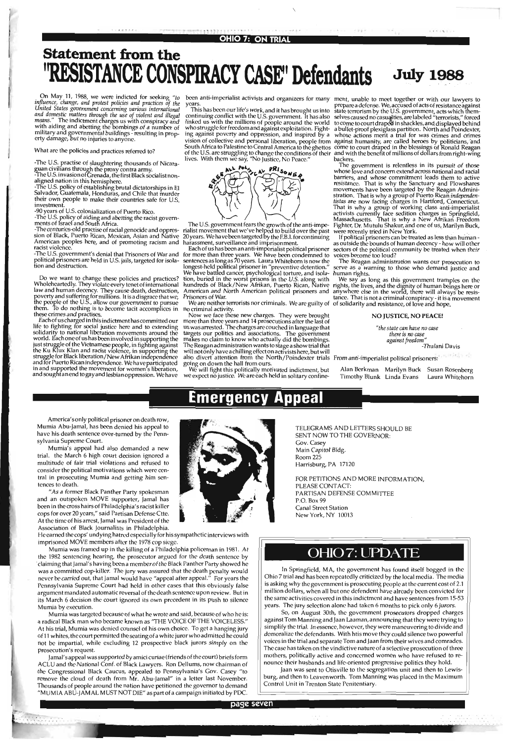## **Statement from the**  "RESISTANCE CONSPIRACY CASE" Defendants July 1988

#### **OHIO 7: ON TRIAL**

On May 11, 1988, we were indicted for seeking *"to I*n May 11, 1988, we were indicted for seeking "to fluence, change, and protest policies and practices of the nited States government concerning various international<br>id domestic matters through the use of violent and illegal eans." The indictment charges us with conspiracy and 1 ith aiding and abetting the bombings of a number of military and governmental buildings - resulting in property damage, but no injuries to anyone.

What are the policies and practices referred to?

 $T_{\rm F}$  ,  $T_{\rm F}$  practice of  $T_{\rm F}$  practice of  $T_{\rm F}$  and  $T_{\rm F}$  of  $N_{\rm F}$  and  $N_{\rm F}$ he U.S. practise of slaughtering thousands of ian civilians through the proxy contra army.

he  $\cup$  5. invasion of Grenada, the firs aligned nation in this hemisphere.

-The U.S. policy of establishing brutal dictatorships in El Salvador, Guatemala, Honduras, and Chile that murder their own people to make their countries safe for U.S. investment. vestment.<br>0

 $U$  years of U.S. colonialization of Puerto Rico.

he U.S. policy of aiding and abett ents of Israel and South Africa.

-The centuries-old practise of racial genocide and oppression of Black, Puerto Rican, Mexican, Asian and Native American peoples here, and of promoting racism and<br>racist violence. eist violence.<br>Prisoners of War and Prisoners of War and War and War and War and War and War and War and War and War and War

he U.S. government's denial that Prisoners of War and f political prisoners are held in U.S. jails, targeted for isolation and destruction.

Do we want to change these policies and practices? Do we want to change these policies and practices?  $t_0$ holeheartedly. They violate every tenet of international h w and human decency. They cause death, destruction,  $\beta$ verty and suffering for millions. It is a disgrace that we, F e people of the U.S., allow our government to pursue them. To do nothing is to become tacit accomplices in no criminal activity.<br>these crimes and practises. Now we face thes

Each of us charged in this indictment has committed our life to fighting for social justice here and to extending solidarity to national liberation movements around the world. Each one of us has been involved in supporting the it struggle of the Victnamese people, in fighting against  $\;$  1 e Ku Klux Klan and racist violence, in supporting the  $\rightarrow$ uggle for Black liberation/New Afrikan independence a d for Puerto Rican independence. We have participated g and supported the movement for women's liberation,

America's only political prisoner on death row, America sonly political prisoner on death fow, Mumia Abu-Jamal, has been denied his appeal to have his death sentence over-turned by the Pennsylvania Supreme Court.

Mumia's appeal had also demanded a new trial. the March 6 high court decision ignored a multitude of fair trial violations and refused to consider the political motivations which were central in prosecuting Mumia and getting him sentences to death.  $\alpha$  death.

and an ormer black leanther learly spokes man  $\mathbb{R}$ and an outspoken MOVE supporter, Jamal has been in the cross hairs of Philadelphia's racist killer cops for over 20 years," said Partisan Defense Ctte. At the time of his arrest, Jamal was President of the Association of Black Journalists in Philadelphia.

He earned the cops' undying hatred especially for his sympathetic interviews with imprisoned MOVE members after the 1978 cop siege.

Mumia was framed up in the killing of a Philadelphia policeman in 1981. At the 1982 sentencing hearing, the prosecutor argued for the death sentence by

## **Emergency Appeal**



been anti-imperialist activists and organizers for many ment, unable to meet together or with oUf lawyers to en anti-imperialist activists and organizers for many ment, unable to meet together or with our lawyers to

This has been our life's work, and it has brought us into continuing conflict with the U.S. government. It has also the U.S. are struggling to change the conditions of their and with the benefit of millions of dollars from right-wing<br>
les. With them we say, "No Justice, No Peace." backers.



The U.S. government fears the growth of the anti-imperialist movement that we've helped to build over the past 20 years. We have been targeted by the F.B.I. for continuing harassment, surveillance and imprisonment.

Each of us has been an anti-imperialist political prisoner s r more than three years. We have been condemned to v ntences as long as 70 years. Laura Whitehorn is now the ngest-held political prisoner in "preventive detention."  $\,$  s We have battled cancer, psychological torture, and isola- human rights. on, buried in the worst prisons in the U.S. along with American and North American political prisoners and

We are neither terrorists nor criminals. We are guilty of  $N$  iminal activity. The set of  $\mathcal{L}$  is the set of  $\mathcal{L}$ 

Now we face these new charges. They were brought ore than three years and 14 prosecutions after the last of us was arrested. The charges are couched in language that targets our politics and associations. The government makes no claim to know who actually did the bombings. The Reagan administration wants to stage a show trial that will not only have a chilling effect on activists here, but will so divert attention from the Nort going on down the hall from ours.

We will fight this politically motivated indictment, but we expect no justice. We are each held in solitary confine-

years. prepare a defense. We, accused of acts of resistance against<br>This has been our life's work, and it has brought us into state terrorism by the U.S. government, acts which themntinuing conflict with the U.S. government. It has also selves caused no casualties, are labeled "terrorists," forced iked us with the millions of people around the world- to come to court draped in shackles, and displayed behind ho struggle for freedom and against exploitation. Fight- a bullet-proof plexiglass partition. North and Poindexter, g against poverty and oppression, and inspired by a whose actions merit a trial for was crimes and crimes sion of collective and personal liberation, people from against humanity, are called heroes by politicians, and outh Africa to Palestine to Central America to the ghettos  $\,$  come to court draped in the blessings of Ronald Reagan  $\,$ 

 $x, 0, 0, 0, 0, 0, 1$ 

(アーカール) 不定意思 ()

of the

ives. With them we say, "No Justice, No Peace."<br> **PRI**<sub>SOME</sub> AND PRI<sub>SOME</sub> Whose love and concern extend across national and racial<br> **PRI**<sub>SOME</sub> AND PRI<sub>SOME</sub> Whose love and concern extend across national and racial<br>
These whose love and concern extend across national and racial barriers, and whose commitment leads them to active resistance. That is why the Sanctuary and Plowshares movements have been targeted by the Reagan Adminiration. That is why a group of Puerto Rican *independen*tas are now facing charges in Hartford, Connecticut. at is why a group of working class anti-imperialist tivists currently face sedition charges in Springfield, activists currently face sedition charges in Springfield,<br>Massachusetts. That is why a New Afrikan Freedom<br>et U.S. government fears the growth of the anti-impe-<br>Fighter, Dr. Mutulu Shakur, and one of us, Marilyn Buck,<br>st m Fighter, Dr. Mutulu Shakur, and one of us, Marilyn Buck, were recently tried in New York.

If political prisoners can be treated as less than human as outside the bounds of human decency - how will other sectors of the political community be treated when their The Reagan administration was become too loud?

The Reagan administration wants our prosecution to serve as a warning to those who demand justice and

indreds of Black/New Afrikan, Puerto Rican, Native rights, the lives, and the dignity of human beings here or Prisoners of War.<br>We are neither terrorists nor criminals. We are guilty of of solidarity and resistance, of love and hope. We say as long as this government tramples on the anywhere else in the world, there will always be resistance. That is not a criminal conspiracy - it is a movement NO JUSTICE, NO PEACE!

> TELEGRAMS AND LEITERS SHOULD BE TELEGRAMS AND LETTERS SHOULD BE SENT NOW TO THE GOVERNOR Gov. Casey Main Capitol Bldg. Room 225<br>Harrisburg, PA 17120

FOR PETITIONS AND MORE INFORMATION, PLEASE CONTACT: PARTISAN DEFENSE COMMITTEE P.O. Box 99 Canal Street Station<br>New York, NY 10013

### *"the state can have no case*

*the state can have no case no case there is no case*<br>"against freedom

Alan Berkman Marilyn Buck Susan Rosenberg

Alan Berkman Marilyn Buck Susan Rosenberg<br>Timothy Blunk Linda Evans Laura Whitehorn

### **OHI07: LTPOATE**

claiming that Jamal's having been a member of the Black Panther Party showed he was a committed cop-killer. The jury was assured that the death penalty would never be carried out, that Jamal would have "appeal after appeal." For years the Pennsylvania Supreme Court had held in other cases that this obviously false argument mandated automatic reversal of the death sentence upon review. But in its March 6 decision the court ignored its own precedent in its push to silence Mumia by execution.  $\lambda$  by execution.

Mumia was targeted because of what he wrote and said, because of who he is: a radical Black man who became known as "THE VOICE OF THE VOICELESS." At his trial, Mumia was denied counsel of his own choice. To get a hanging jury of 11 whites, the court permitted the seating of a white juror who admitted he could not be impartial, while excluding 12 prospective black jurors simply on the prosecution's request.  $\alpha$  appeal was supported by a supported by an indicate (friends of the court) briefs for the court) briefs for the court of the court of the court of the court of the court of the court of the court of the court of the c

Jamal's appeal was supported by amici curiae (friends of the court) briefs form ACLU and the National Conf. of Black Lawyers. Ron Dellums, now chairman of the Congressional Black Caucus, appealed to Pennsylvania's Gov. Casey "to remove the cloud of death from Mr. Abu-Jamal" in a letter last November. Thousands of people around the nation have petitioned the governor to demand "MUMIA ABU-JAMAL MUST NOT DIE" as part of a campaign initiated by PDC. **page several page se** 

In Springfield, MA, the government has found in the government  $\vert\vert$ In Springfield, MA, the government has found itself bogged in the Ohio 7 trial and has been repeatedly criticized by the local media. The media is asking why the government is prosecuting people at the current cost of 2.1 million dollars, when all but one defendent have already been convicted for the same activities covered in this indictment and have sentences from 15-53 years. The jury selection alone had taken 6 months to pick only 6 jurors.

So, on August 30th, the government prosecutors dropped charges against Tom Manning and Jaan Laaman, announcing that they were trying to simplify the trial. In essence, however, they were maneuvering to divide and demoralize the defendants. With htis move they could silence two powerful voices in the trial and separate Tom and Jaan from their wives and comrades. The case has taken on the vindictive nature of a selective prosecution of three mothers, politically active and concerned women who have refused to renounce their husbands and life-oriented progressive politics they hold.

Jaan was sent to Otisville to the segregation unit and then to Lewisburg, and then to Leavenworth. Tom Manning was placed in the Maximum Control Unit in Trenton State Penitentiary.